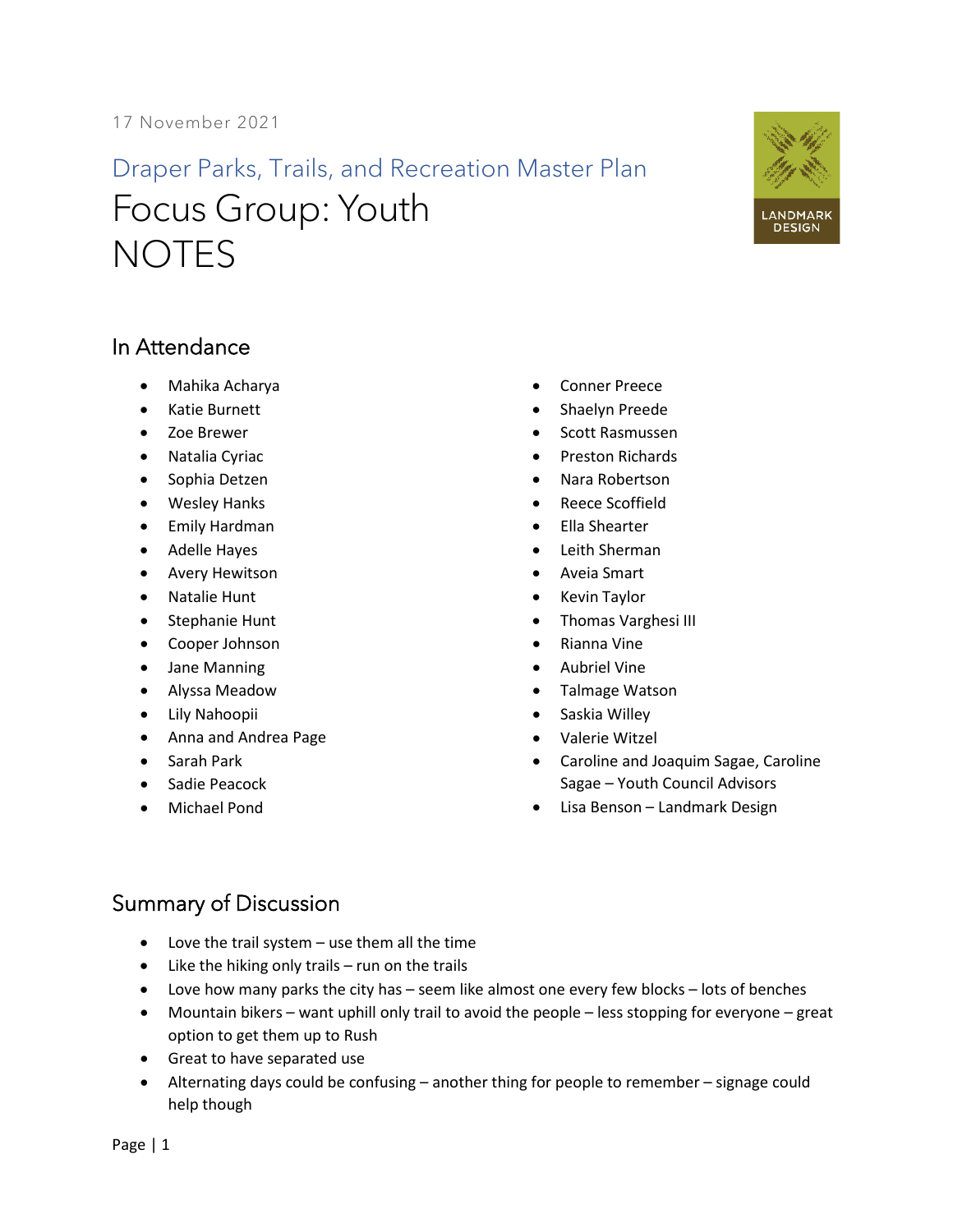17 November 2021

## Draper Parks, Trails, and Recreation Master Plan Focus Group: Youth **NOTES**



## In Attendance

- Mahika Acharya
- Katie Burnett
- Zoe Brewer
- Natalia Cyriac
- Sophia Detzen
- Wesley Hanks
- Emily Hardman
- Adelle Hayes
- Avery Hewitson
- Natalie Hunt
- Stephanie Hunt
- Cooper Johnson
- Jane Manning
- Alyssa Meadow
- Lily Nahoopii
- Anna and Andrea Page
- Sarah Park
- Sadie Peacock
- Michael Pond
- Conner Preece
- Shaelyn Preede
- Scott Rasmussen
- Preston Richards
- Nara Robertson
- Reece Scoffield
- Ella Shearter
- Leith Sherman
- Aveia Smart
- Kevin Taylor
- Thomas Varghesi III
- Rianna Vine
- Aubriel Vine
- Talmage Watson
- Saskia Willey
- Valerie Witzel
- Caroline and Joaquim Sagae, Caroline Sagae – Youth Council Advisors
- Lisa Benson Landmark Design

## Summary of Discussion

- Love the trail system use them all the time
- Like the hiking only trails run on the trails
- Love how many parks the city has seem like almost one every few blocks lots of benches
- Mountain bikers want uphill only trail to avoid the people less stopping for everyone great option to get them up to Rush
- Great to have separated use
- Alternating days could be confusing another thing for people to remember signage could help though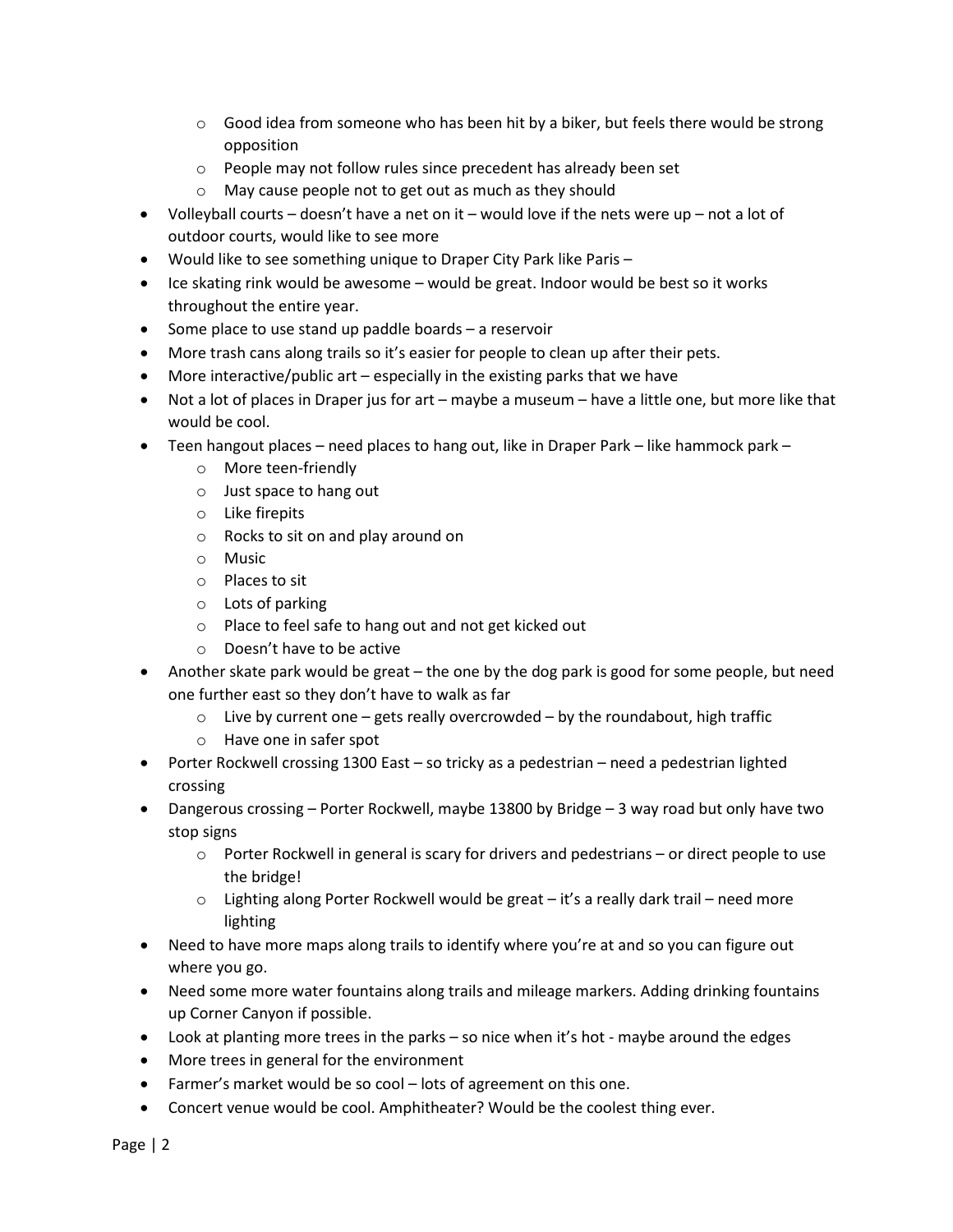- $\circ$  Good idea from someone who has been hit by a biker, but feels there would be strong opposition
- o People may not follow rules since precedent has already been set
- o May cause people not to get out as much as they should
- Volleyball courts  $-$  doesn't have a net on it  $-$  would love if the nets were up  $-$  not a lot of outdoor courts, would like to see more
- Would like to see something unique to Draper City Park like Paris –
- Ice skating rink would be awesome would be great. Indoor would be best so it works throughout the entire year.
- Some place to use stand up paddle boards a reservoir
- More trash cans along trails so it's easier for people to clean up after their pets.
- More interactive/public art especially in the existing parks that we have
- Not a lot of places in Draper jus for art maybe a museum have a little one, but more like that would be cool.
- Teen hangout places need places to hang out, like in Draper Park like hammock park
	- o More teen-friendly
	- o Just space to hang out
	- o Like firepits
	- o Rocks to sit on and play around on
	- o Music
	- o Places to sit
	- o Lots of parking
	- o Place to feel safe to hang out and not get kicked out
	- o Doesn't have to be active
- Another skate park would be great the one by the dog park is good for some people, but need one further east so they don't have to walk as far
	- $\circ$  Live by current one gets really overcrowded by the roundabout, high traffic
	- o Have one in safer spot
- Porter Rockwell crossing 1300 East so tricky as a pedestrian need a pedestrian lighted crossing
- Dangerous crossing Porter Rockwell, maybe 13800 by Bridge 3 way road but only have two stop signs
	- $\circ$  Porter Rockwell in general is scary for drivers and pedestrians or direct people to use the bridge!
	- $\circ$  Lighting along Porter Rockwell would be great it's a really dark trail need more lighting
- Need to have more maps along trails to identify where you're at and so you can figure out where you go.
- Need some more water fountains along trails and mileage markers. Adding drinking fountains up Corner Canyon if possible.
- Look at planting more trees in the parks so nice when it's hot maybe around the edges
- More trees in general for the environment
- Farmer's market would be so cool lots of agreement on this one.
- Concert venue would be cool. Amphitheater? Would be the coolest thing ever.